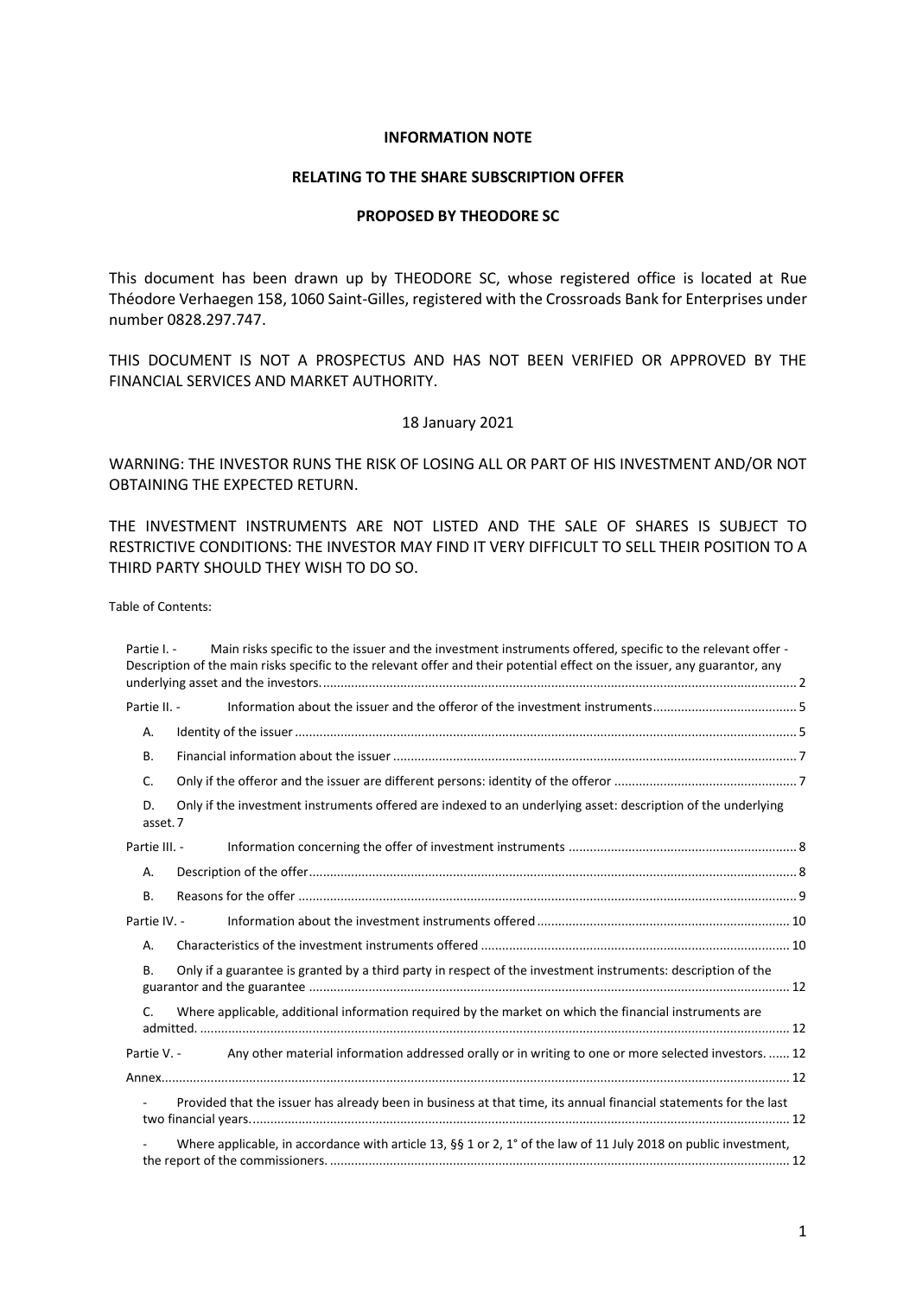#### **INFORMATION NOTE**

#### **RELATING TO THE SHARE SUBSCRIPTION OFFER**

#### **PROPOSED BY THEODORE SC**

This document has been drawn up by THEODORE SC, whose registered office is located at Rue Théodore Verhaegen 158, 1060 Saint-Gilles, registered with the Crossroads Bank for Enterprises under number 0828.297.747.

THIS DOCUMENT IS NOT A PROSPECTUS AND HAS NOT BEEN VERIFIED OR APPROVED BY THE FINANCIAL SERVICES AND MARKET AUTHORITY.

#### 18 January 2021

WARNING: THE INVESTOR RUNS THE RISK OF LOSING ALL OR PART OF HIS INVESTMENT AND/OR NOT OBTAINING THE EXPECTED RETURN.

THE INVESTMENT INSTRUMENTS ARE NOT LISTED AND THE SALE OF SHARES IS SUBJECT TO RESTRICTIVE CONDITIONS: THE INVESTOR MAY FIND IT VERY DIFFICULT TO SELL THEIR POSITION TO A THIRD PARTY SHOULD THEY WISH TO DO SO.

Table of Contents:

| Partie I. -    | Main risks specific to the issuer and the investment instruments offered, specific to the relevant offer -<br>Description of the main risks specific to the relevant offer and their potential effect on the issuer, any guarantor, any |  |
|----------------|-----------------------------------------------------------------------------------------------------------------------------------------------------------------------------------------------------------------------------------------|--|
|                |                                                                                                                                                                                                                                         |  |
| Partie II. -   |                                                                                                                                                                                                                                         |  |
| Α.             |                                                                                                                                                                                                                                         |  |
| <b>B.</b>      |                                                                                                                                                                                                                                         |  |
| C.             |                                                                                                                                                                                                                                         |  |
| D.<br>asset. 7 | Only if the investment instruments offered are indexed to an underlying asset: description of the underlying                                                                                                                            |  |
| Partie III. -  |                                                                                                                                                                                                                                         |  |
| Α.             |                                                                                                                                                                                                                                         |  |
| В.             |                                                                                                                                                                                                                                         |  |
| Partie IV. -   |                                                                                                                                                                                                                                         |  |
| Α.             |                                                                                                                                                                                                                                         |  |
| В.             | Only if a guarantee is granted by a third party in respect of the investment instruments: description of the                                                                                                                            |  |
| C.             | Where applicable, additional information required by the market on which the financial instruments are                                                                                                                                  |  |
| Partie V. -    | Any other material information addressed orally or in writing to one or more selected investors.  12                                                                                                                                    |  |
|                |                                                                                                                                                                                                                                         |  |
|                | Provided that the issuer has already been in business at that time, its annual financial statements for the last                                                                                                                        |  |
|                | Where applicable, in accordance with article 13, §§ 1 or 2, 1° of the law of 11 July 2018 on public investment,                                                                                                                         |  |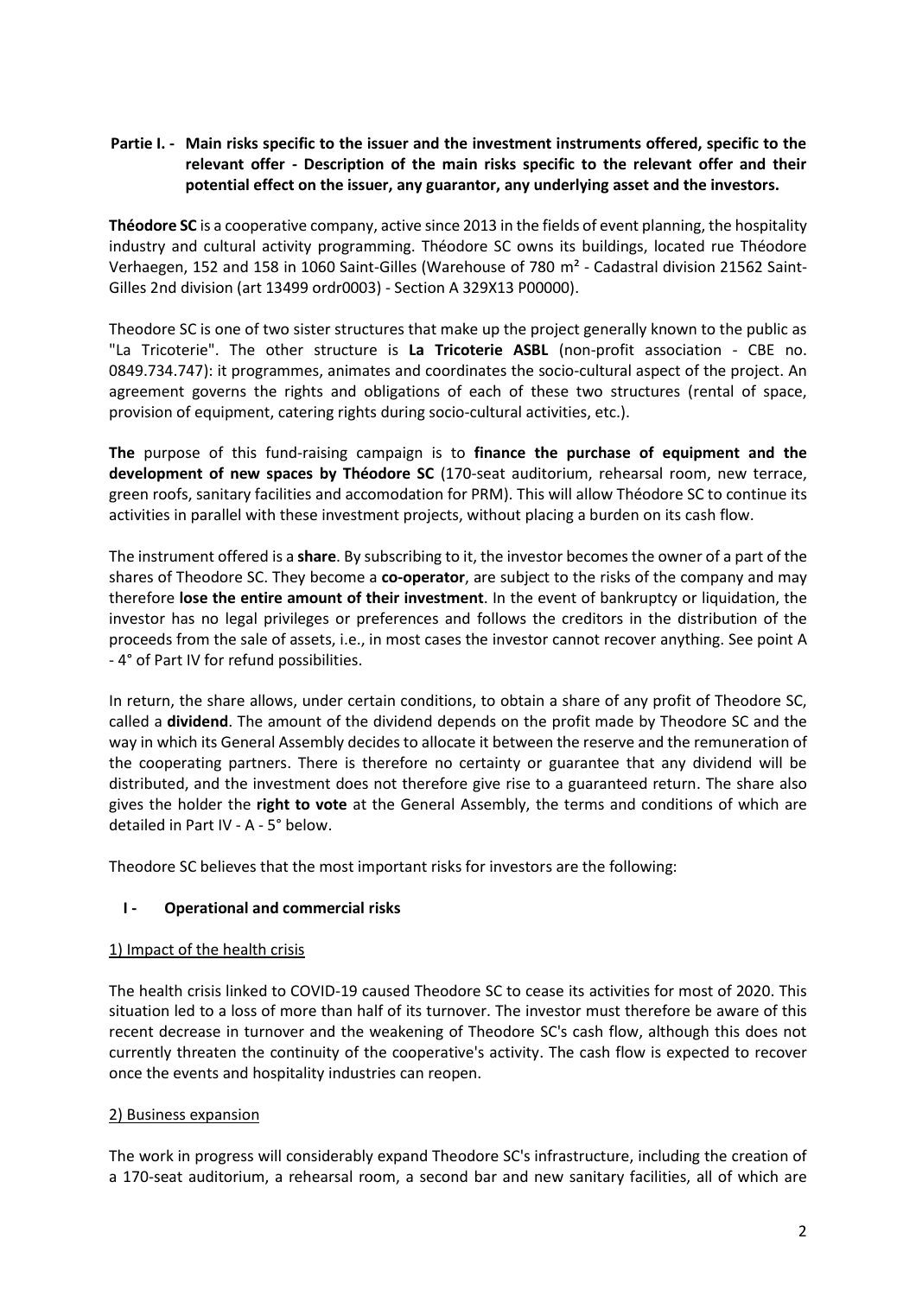# <span id="page-1-0"></span>**Partie I. - Main risks specific to the issuer and the investment instruments offered, specific to the relevant offer - Description of the main risks specific to the relevant offer and their potential effect on the issuer, any guarantor, any underlying asset and the investors.**

**Théodore SC** is a cooperative company, active since 2013 in the fields of event planning, the hospitality industry and cultural activity programming. Théodore SC owns its buildings, located rue Théodore Verhaegen, 152 and 158 in 1060 Saint-Gilles (Warehouse of 780 m² - Cadastral division 21562 Saint-Gilles 2nd division (art 13499 ordr0003) - Section A 329X13 P00000).

Theodore SC is one of two sister structures that make up the project generally known to the public as "La Tricoterie". The other structure is **La Tricoterie ASBL** (non-profit association - CBE no. 0849.734.747): it programmes, animates and coordinates the socio-cultural aspect of the project. An agreement governs the rights and obligations of each of these two structures (rental of space, provision of equipment, catering rights during socio-cultural activities, etc.).

**The** purpose of this fund-raising campaign is to **finance the purchase of equipment and the development of new spaces by Théodore SC** (170-seat auditorium, rehearsal room, new terrace, green roofs, sanitary facilities and accomodation for PRM). This will allow Théodore SC to continue its activities in parallel with these investment projects, without placing a burden on its cash flow.

The instrument offered is a **share**. By subscribing to it, the investor becomes the owner of a part of the shares of Theodore SC. They become a **co-operator**, are subject to the risks of the company and may therefore **lose the entire amount of their investment**. In the event of bankruptcy or liquidation, the investor has no legal privileges or preferences and follows the creditors in the distribution of the proceeds from the sale of assets, i.e., in most cases the investor cannot recover anything. See point A - 4° of Part IV for refund possibilities.

In return, the share allows, under certain conditions, to obtain a share of any profit of Theodore SC, called a **dividend**. The amount of the dividend depends on the profit made by Theodore SC and the way in which its General Assembly decides to allocate it between the reserve and the remuneration of the cooperating partners. There is therefore no certainty or guarantee that any dividend will be distributed, and the investment does not therefore give rise to a guaranteed return. The share also gives the holder the **right to vote** at the General Assembly, the terms and conditions of which are detailed in Part IV - A - 5° below.

Theodore SC believes that the most important risks for investors are the following:

# **I - Operational and commercial risks**

# 1) Impact of the health crisis

The health crisis linked to COVID-19 caused Theodore SC to cease its activities for most of 2020. This situation led to a loss of more than half of its turnover. The investor must therefore be aware of this recent decrease in turnover and the weakening of Theodore SC's cash flow, although this does not currently threaten the continuity of the cooperative's activity. The cash flow is expected to recover once the events and hospitality industries can reopen.

#### 2) Business expansion

The work in progress will considerably expand Theodore SC's infrastructure, including the creation of a 170-seat auditorium, a rehearsal room, a second bar and new sanitary facilities, all of which are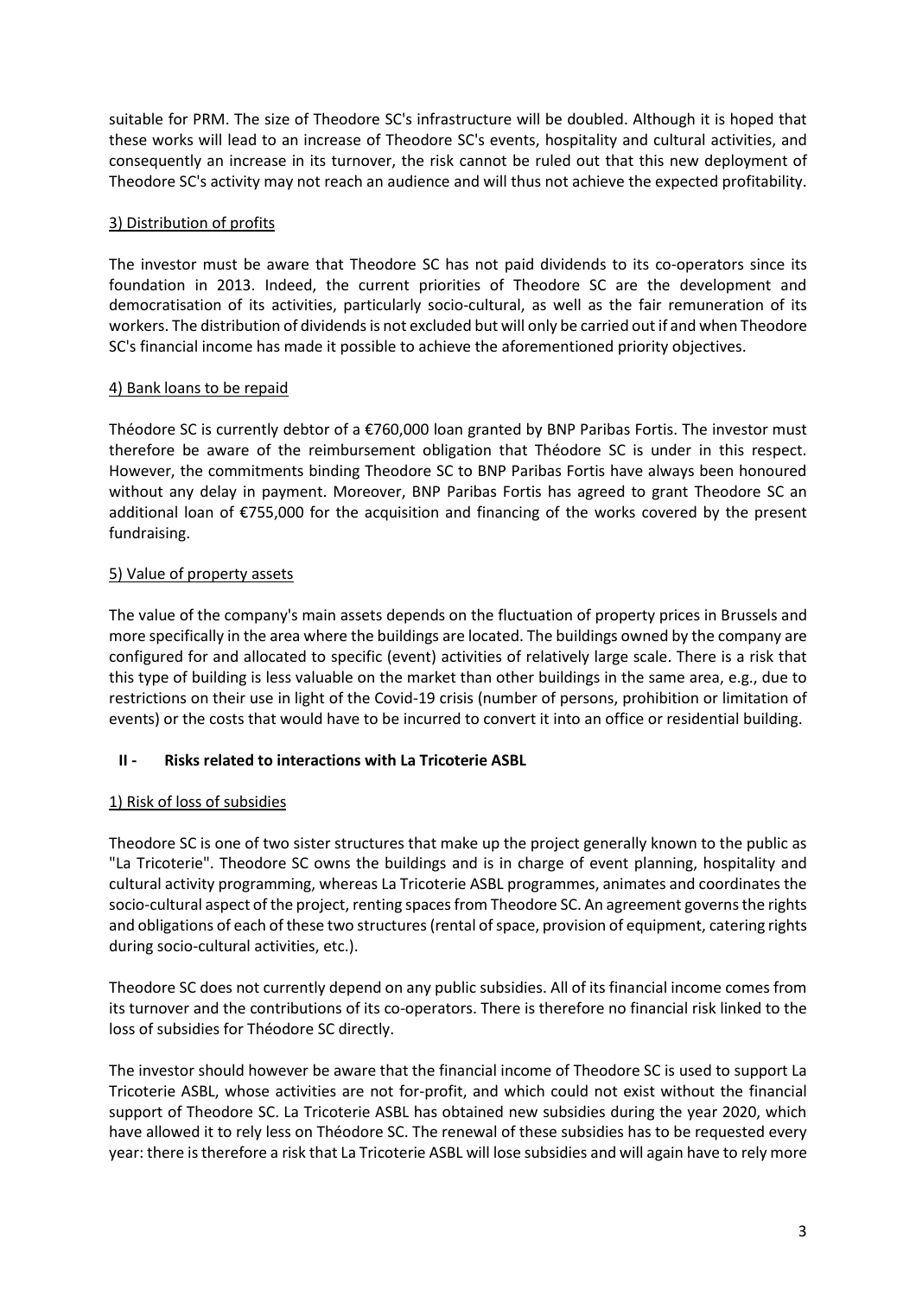suitable for PRM. The size of Theodore SC's infrastructure will be doubled. Although it is hoped that these works will lead to an increase of Theodore SC's events, hospitality and cultural activities, and consequently an increase in its turnover, the risk cannot be ruled out that this new deployment of Theodore SC's activity may not reach an audience and will thus not achieve the expected profitability.

# 3) Distribution of profits

The investor must be aware that Theodore SC has not paid dividends to its co-operators since its foundation in 2013. Indeed, the current priorities of Theodore SC are the development and democratisation of its activities, particularly socio-cultural, as well as the fair remuneration of its workers. The distribution of dividends is not excluded but will only be carried out if and when Theodore SC's financial income has made it possible to achieve the aforementioned priority objectives.

# 4) Bank loans to be repaid

Théodore SC is currently debtor of a €760,000 loan granted by BNP Paribas Fortis. The investor must therefore be aware of the reimbursement obligation that Théodore SC is under in this respect. However, the commitments binding Theodore SC to BNP Paribas Fortis have always been honoured without any delay in payment. Moreover, BNP Paribas Fortis has agreed to grant Theodore SC an additional loan of €755,000 for the acquisition and financing of the works covered by the present fundraising.

# 5) Value of property assets

The value of the company's main assets depends on the fluctuation of property prices in Brussels and more specifically in the area where the buildings are located. The buildings owned by the company are configured for and allocated to specific (event) activities of relatively large scale. There is a risk that this type of building is less valuable on the market than other buildings in the same area, e.g., due to restrictions on their use in light of the Covid-19 crisis (number of persons, prohibition or limitation of events) or the costs that would have to be incurred to convert it into an office or residential building.

# **II - Risks related to interactions with La Tricoterie ASBL**

# 1) Risk of loss of subsidies

Theodore SC is one of two sister structures that make up the project generally known to the public as "La Tricoterie". Theodore SC owns the buildings and is in charge of event planning, hospitality and cultural activity programming, whereas La Tricoterie ASBL programmes, animates and coordinates the socio-cultural aspect of the project, renting spaces from Theodore SC. An agreement governs the rights and obligations of each of these two structures (rental of space, provision of equipment, catering rights during socio-cultural activities, etc.).

Theodore SC does not currently depend on any public subsidies. All of its financial income comes from its turnover and the contributions of its co-operators. There is therefore no financial risk linked to the loss of subsidies for Théodore SC directly.

The investor should however be aware that the financial income of Theodore SC is used to support La Tricoterie ASBL, whose activities are not for-profit, and which could not exist without the financial support of Theodore SC. La Tricoterie ASBL has obtained new subsidies during the year 2020, which have allowed it to rely less on Théodore SC. The renewal of these subsidies has to be requested every year: there is therefore a risk that La Tricoterie ASBL will lose subsidies and will again have to rely more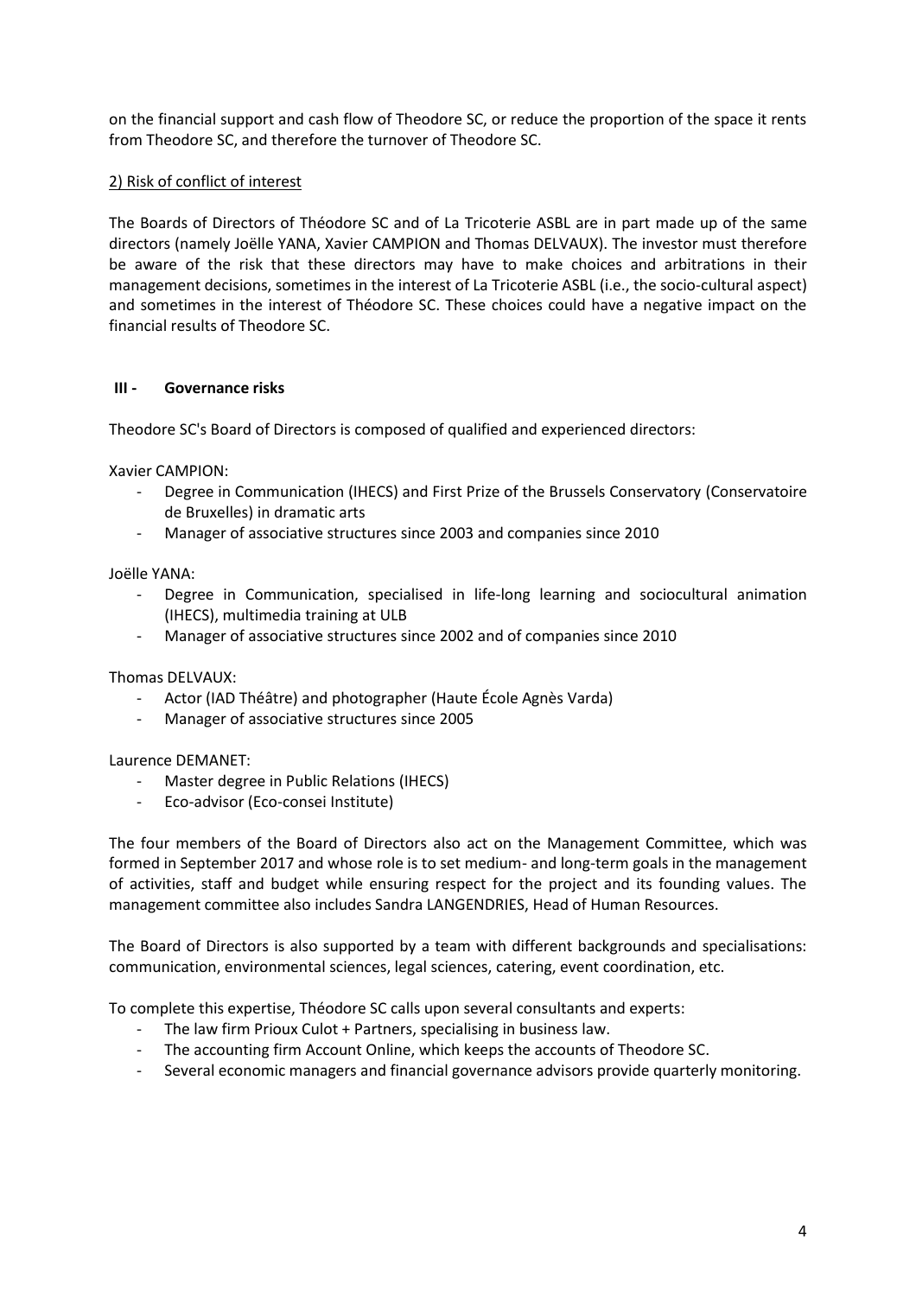on the financial support and cash flow of Theodore SC, or reduce the proportion of the space it rents from Theodore SC, and therefore the turnover of Theodore SC.

# 2) Risk of conflict of interest

The Boards of Directors of Théodore SC and of La Tricoterie ASBL are in part made up of the same directors (namely Joëlle YANA, Xavier CAMPION and Thomas DELVAUX). The investor must therefore be aware of the risk that these directors may have to make choices and arbitrations in their management decisions, sometimes in the interest of La Tricoterie ASBL (i.e., the socio-cultural aspect) and sometimes in the interest of Théodore SC. These choices could have a negative impact on the financial results of Theodore SC.

## **III - Governance risks**

Theodore SC's Board of Directors is composed of qualified and experienced directors:

Xavier CAMPION:

- Degree in Communication (IHECS) and First Prize of the Brussels Conservatory (Conservatoire de Bruxelles) in dramatic arts
- Manager of associative structures since 2003 and companies since 2010

Joëlle YANA:

- Degree in Communication, specialised in life-long learning and sociocultural animation (IHECS), multimedia training at ULB
- Manager of associative structures since 2002 and of companies since 2010

Thomas DELVAUX:

- Actor (IAD Théâtre) and photographer (Haute École Agnès Varda)
- Manager of associative structures since 2005

Laurence DEMANET:

- Master degree in Public Relations (IHECS)
- Eco-advisor (Eco-consei Institute)

The four members of the Board of Directors also act on the Management Committee, which was formed in September 2017 and whose role is to set medium- and long-term goals in the management of activities, staff and budget while ensuring respect for the project and its founding values. The management committee also includes Sandra LANGENDRIES, Head of Human Resources.

The Board of Directors is also supported by a team with different backgrounds and specialisations: communication, environmental sciences, legal sciences, catering, event coordination, etc.

To complete this expertise, Théodore SC calls upon several consultants and experts:

- The law firm Prioux Culot + Partners, specialising in business law.
- The accounting firm Account Online, which keeps the accounts of Theodore SC.
- Several economic managers and financial governance advisors provide quarterly monitoring.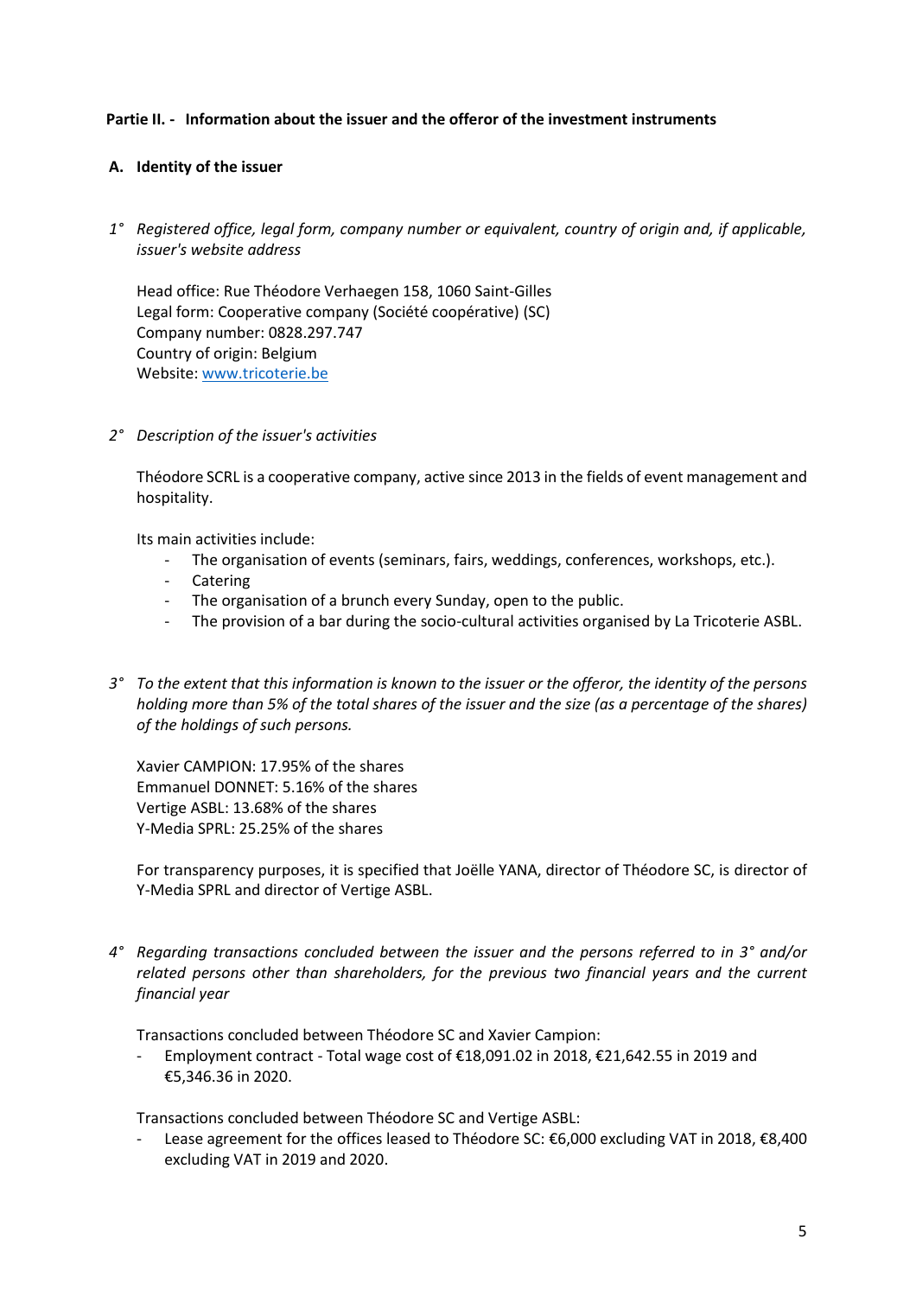## <span id="page-4-0"></span>**Partie II. - Information about the issuer and the offeror of the investment instruments**

### <span id="page-4-1"></span>**A. Identity of the issuer**

*1° Registered office, legal form, company number or equivalent, country of origin and, if applicable, issuer's website address*

Head office: Rue Théodore Verhaegen 158, 1060 Saint-Gilles Legal form: Cooperative company (Société coopérative) (SC) Company number: 0828.297.747 Country of origin: Belgium Website: [www.tricoterie.be](http://www.tricoterie.be/) 

*2° Description of the issuer's activities*

Théodore SCRL is a cooperative company, active since 2013 in the fields of event management and hospitality.

Its main activities include:

- The organisation of events (seminars, fairs, weddings, conferences, workshops, etc.).
- Catering
- The organisation of a brunch every Sunday, open to the public.
- The provision of a bar during the socio-cultural activities organised by La Tricoterie ASBL.
- *3° To the extent that this information is known to the issuer or the offeror, the identity of the persons holding more than 5% of the total shares of the issuer and the size (as a percentage of the shares) of the holdings of such persons.*

Xavier CAMPION: 17.95% of the shares Emmanuel DONNET: 5.16% of the shares Vertige ASBL: 13.68% of the shares Y-Media SPRL: 25.25% of the shares

For transparency purposes, it is specified that Joëlle YANA, director of Théodore SC, is director of Y-Media SPRL and director of Vertige ASBL.

*4° Regarding transactions concluded between the issuer and the persons referred to in 3° and/or related persons other than shareholders, for the previous two financial years and the current financial year*

Transactions concluded between Théodore SC and Xavier Campion:

- Employment contract - Total wage cost of €18,091.02 in 2018, €21,642.55 in 2019 and €5,346.36 in 2020.

Transactions concluded between Théodore SC and Vertige ASBL:

Lease agreement for the offices leased to Théodore SC: €6,000 excluding VAT in 2018, €8,400 excluding VAT in 2019 and 2020.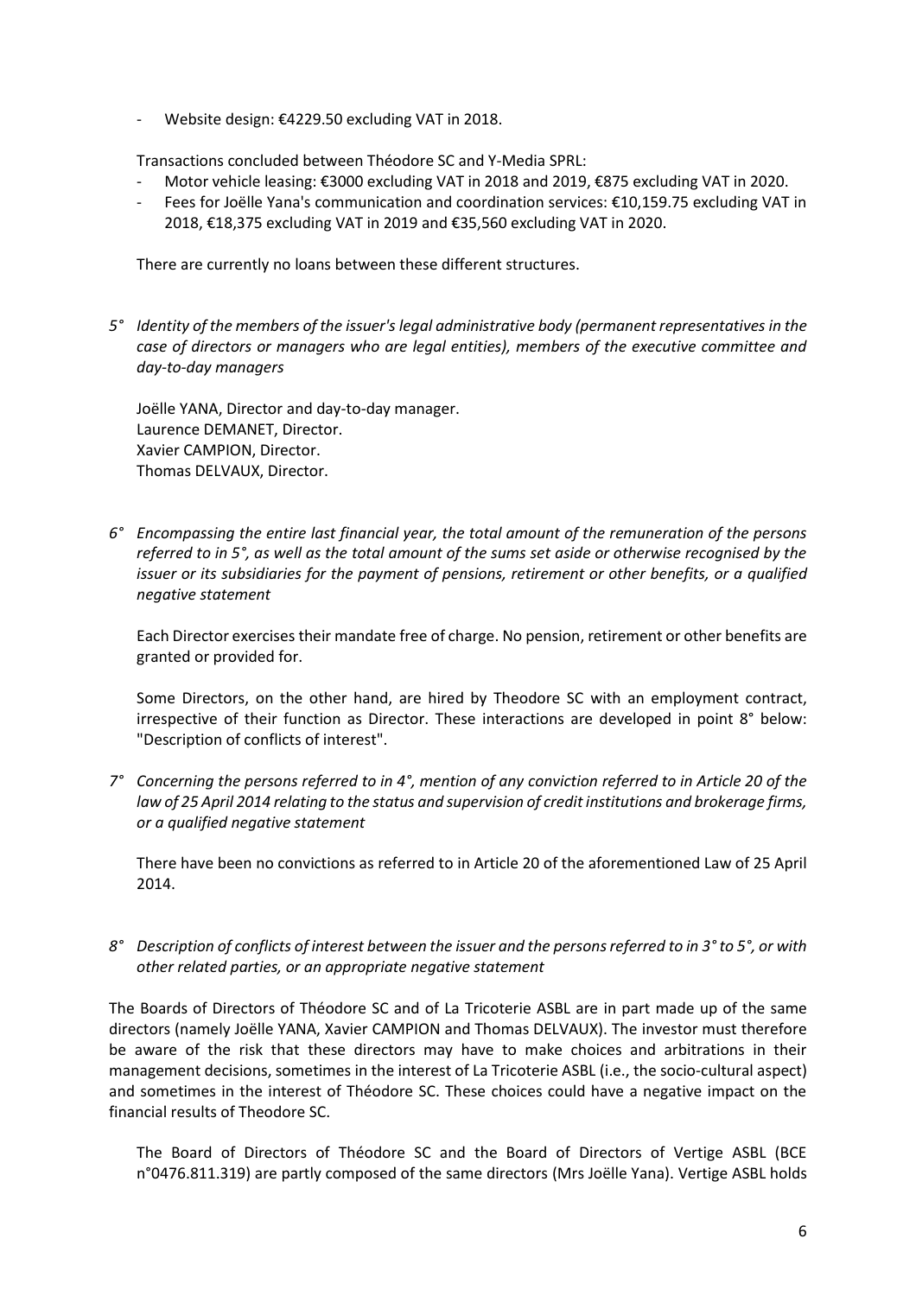- Website design: €4229.50 excluding VAT in 2018.

Transactions concluded between Théodore SC and Y-Media SPRL:

- Motor vehicle leasing: €3000 excluding VAT in 2018 and 2019, €875 excluding VAT in 2020.
- Fees for Joëlle Yana's communication and coordination services: €10,159.75 excluding VAT in 2018, €18,375 excluding VAT in 2019 and €35,560 excluding VAT in 2020.

There are currently no loans between these different structures.

*5° Identity of the members of the issuer's legal administrative body (permanent representatives in the case of directors or managers who are legal entities), members of the executive committee and day-to-day managers*

Joëlle YANA, Director and day-to-day manager. Laurence DEMANET, Director. Xavier CAMPION, Director. Thomas DELVAUX, Director.

*6° Encompassing the entire last financial year, the total amount of the remuneration of the persons referred to in 5°, as well as the total amount of the sums set aside or otherwise recognised by the issuer or its subsidiaries for the payment of pensions, retirement or other benefits, or a qualified negative statement*

Each Director exercises their mandate free of charge. No pension, retirement or other benefits are granted or provided for.

Some Directors, on the other hand, are hired by Theodore SC with an employment contract, irrespective of their function as Director. These interactions are developed in point 8° below: "Description of conflicts of interest".

*7° Concerning the persons referred to in 4°, mention of any conviction referred to in Article 20 of the law of 25 April 2014 relating to the status and supervision of credit institutions and brokerage firms, or a qualified negative statement*

There have been no convictions as referred to in Article 20 of the aforementioned Law of 25 April 2014.

*8° Description of conflicts of interest between the issuer and the persons referred to in 3° to 5°, or with other related parties, or an appropriate negative statement*

The Boards of Directors of Théodore SC and of La Tricoterie ASBL are in part made up of the same directors (namely Joëlle YANA, Xavier CAMPION and Thomas DELVAUX). The investor must therefore be aware of the risk that these directors may have to make choices and arbitrations in their management decisions, sometimes in the interest of La Tricoterie ASBL (i.e., the socio-cultural aspect) and sometimes in the interest of Théodore SC. These choices could have a negative impact on the financial results of Theodore SC.

The Board of Directors of Théodore SC and the Board of Directors of Vertige ASBL (BCE n°0476.811.319) are partly composed of the same directors (Mrs Joëlle Yana). Vertige ASBL holds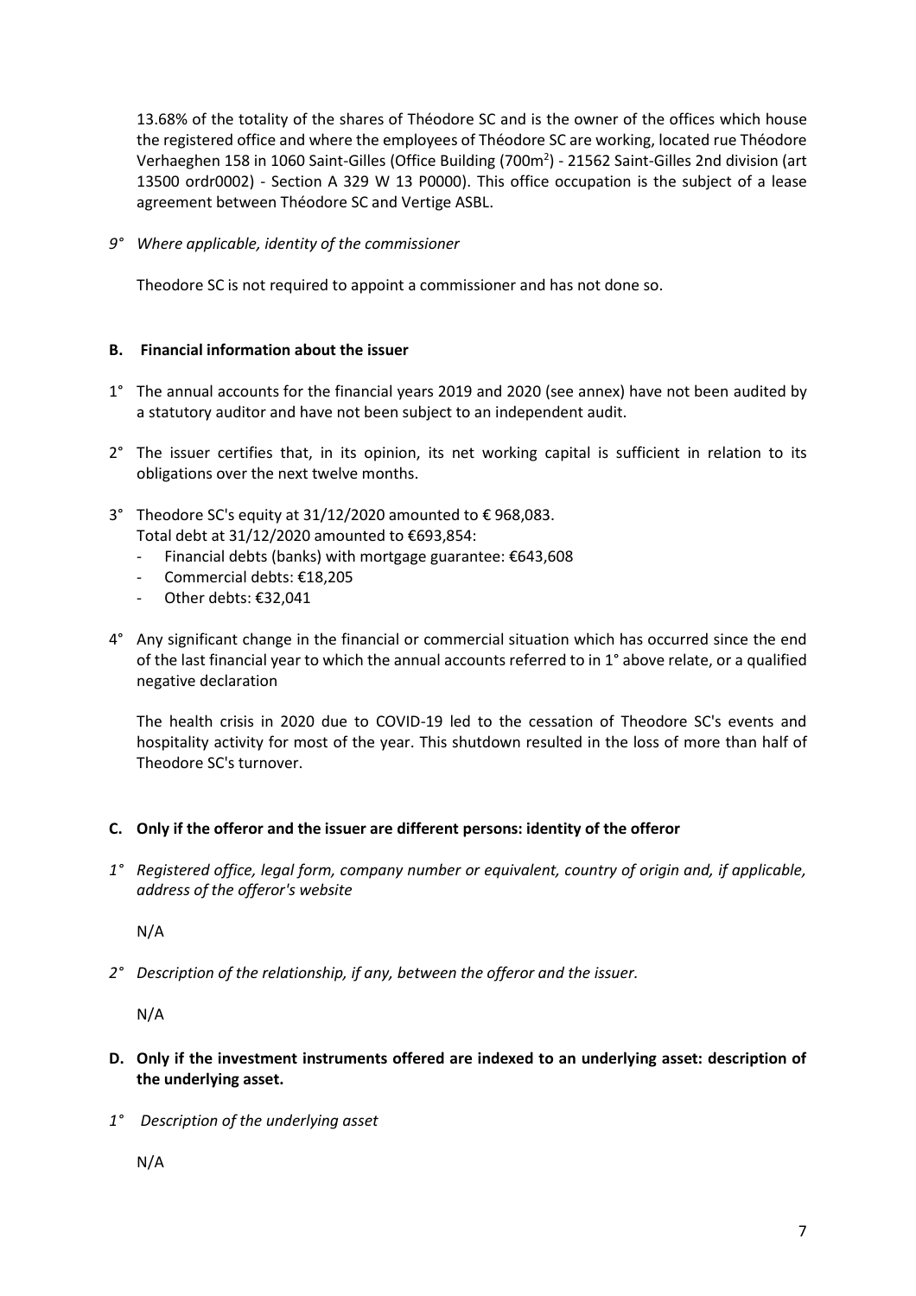13.68% of the totality of the shares of Théodore SC and is the owner of the offices which house the registered office and where the employees of Théodore SC are working, located rue Théodore Verhaeghen 158 in 1060 Saint-Gilles (Office Building (700m<sup>2</sup>) - 21562 Saint-Gilles 2nd division (art 13500 ordr0002) - Section A 329 W 13 P0000). This office occupation is the subject of a lease agreement between Théodore SC and Vertige ASBL.

*9° Where applicable, identity of the commissioner*

Theodore SC is not required to appoint a commissioner and has not done so.

## <span id="page-6-0"></span>**B. Financial information about the issuer**

- 1° The annual accounts for the financial years 2019 and 2020 (see annex) have not been audited by a statutory auditor and have not been subject to an independent audit.
- 2° The issuer certifies that, in its opinion, its net working capital is sufficient in relation to its obligations over the next twelve months.
- 3° Theodore SC's equity at 31/12/2020 amounted to € 968,083. Total debt at 31/12/2020 amounted to €693,854:
	- Financial debts (banks) with mortgage guarantee: €643,608
	- Commercial debts: €18,205
	- Other debts: €32,041
- 4° Any significant change in the financial or commercial situation which has occurred since the end of the last financial year to which the annual accounts referred to in 1° above relate, or a qualified negative declaration

The health crisis in 2020 due to COVID-19 led to the cessation of Theodore SC's events and hospitality activity for most of the year. This shutdown resulted in the loss of more than half of Theodore SC's turnover.

#### <span id="page-6-1"></span>**C. Only if the offeror and the issuer are different persons: identity of the offeror**

*1° Registered office, legal form, company number or equivalent, country of origin and, if applicable, address of the offeror's website*

N/A

*2° Description of the relationship, if any, between the offeror and the issuer.*

N/A

- <span id="page-6-2"></span>**D. Only if the investment instruments offered are indexed to an underlying asset: description of the underlying asset.**
- *1° Description of the underlying asset*

N/A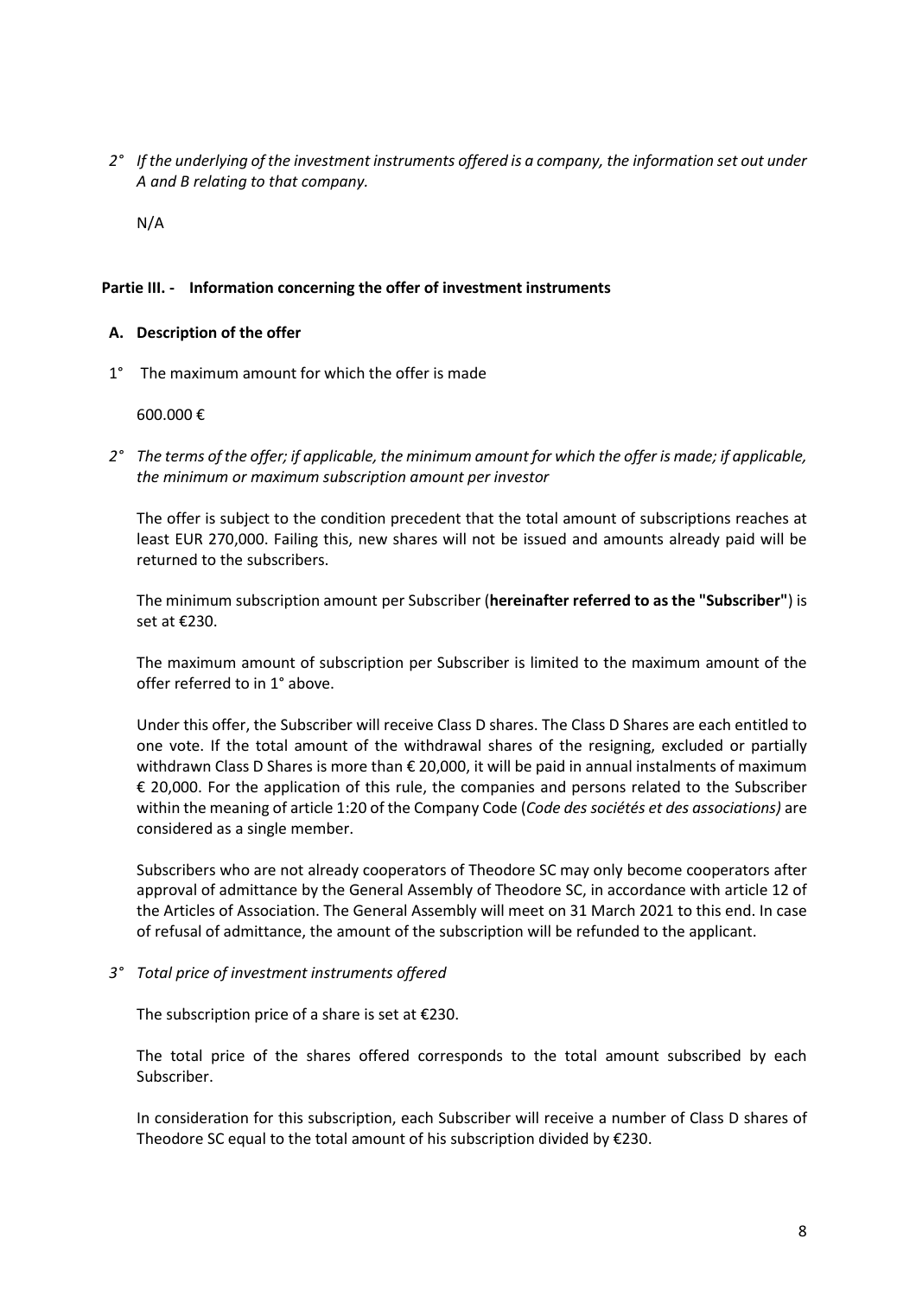*2° If the underlying of the investment instruments offered is a company, the information set out under A and B relating to that company.*

<span id="page-7-0"></span>N/A

### **Partie III. - Information concerning the offer of investment instruments**

### <span id="page-7-1"></span>**A. Description of the offer**

1° The maximum amount for which the offer is made

600.000 €

*2° The terms of the offer; if applicable, the minimum amount for which the offer is made; if applicable, the minimum or maximum subscription amount per investor*

The offer is subject to the condition precedent that the total amount of subscriptions reaches at least EUR 270,000. Failing this, new shares will not be issued and amounts already paid will be returned to the subscribers.

The minimum subscription amount per Subscriber (**hereinafter referred to as the "Subscriber"**) is set at €230.

The maximum amount of subscription per Subscriber is limited to the maximum amount of the offer referred to in 1° above.

Under this offer, the Subscriber will receive Class D shares. The Class D Shares are each entitled to one vote. If the total amount of the withdrawal shares of the resigning, excluded or partially withdrawn Class D Shares is more than € 20,000, it will be paid in annual instalments of maximum € 20,000. For the application of this rule, the companies and persons related to the Subscriber within the meaning of article 1:20 of the Company Code (*Code des sociétés et des associations)* are considered as a single member.

Subscribers who are not already cooperators of Theodore SC may only become cooperators after approval of admittance by the General Assembly of Theodore SC, in accordance with article 12 of the Articles of Association. The General Assembly will meet on 31 March 2021 to this end. In case of refusal of admittance, the amount of the subscription will be refunded to the applicant.

*3° Total price of investment instruments offered*

The subscription price of a share is set at  $E$ 230.

The total price of the shares offered corresponds to the total amount subscribed by each Subscriber.

In consideration for this subscription, each Subscriber will receive a number of Class D shares of Theodore SC equal to the total amount of his subscription divided by €230.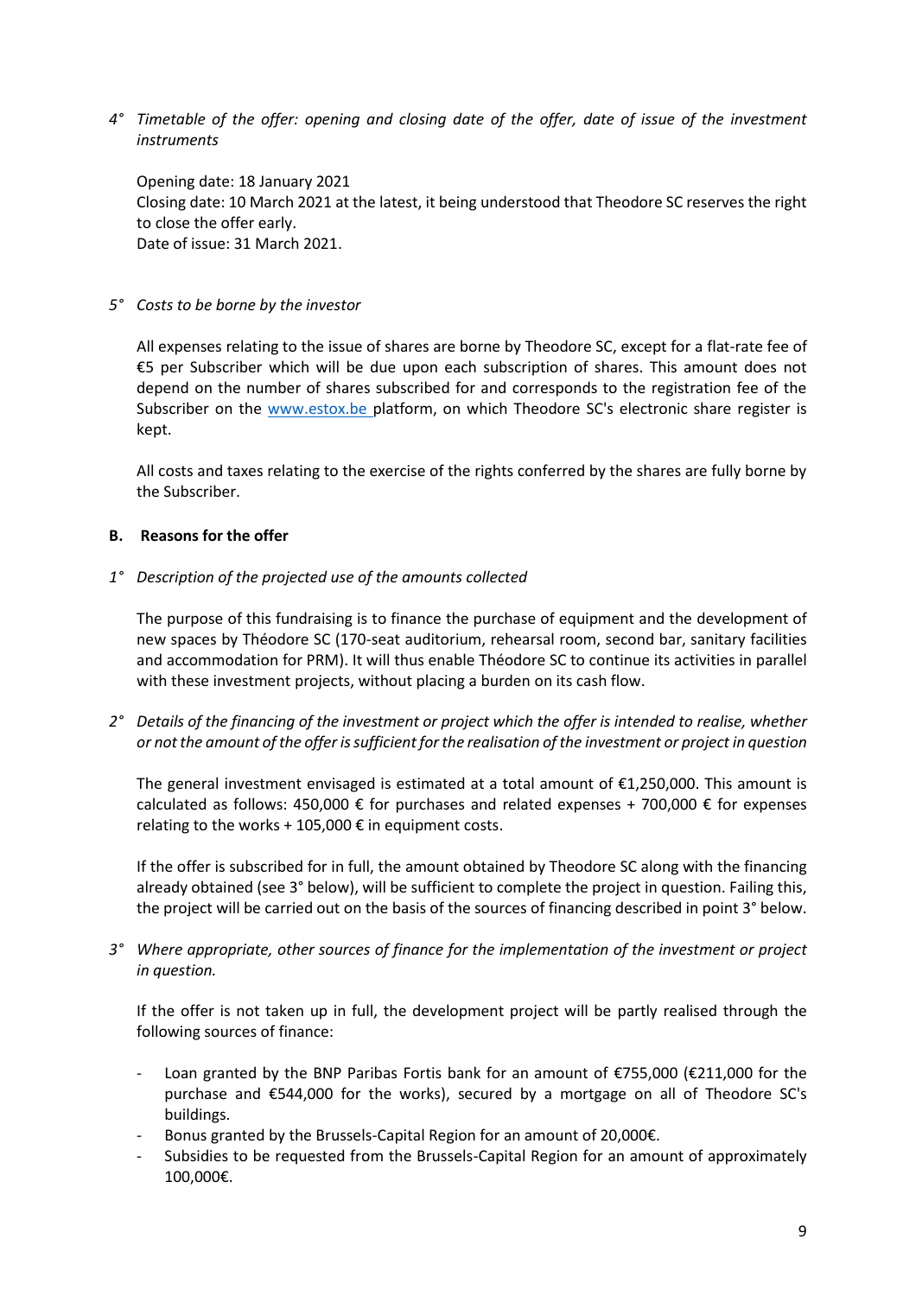*4° Timetable of the offer: opening and closing date of the offer, date of issue of the investment instruments*

Opening date: 18 January 2021 Closing date: 10 March 2021 at the latest, it being understood that Theodore SC reserves the right to close the offer early. Date of issue: 31 March 2021.

### *5° Costs to be borne by the investor*

All expenses relating to the issue of shares are borne by Theodore SC, except for a flat-rate fee of €5 per Subscriber which will be due upon each subscription of shares. This amount does not depend on the number of shares subscribed for and corresponds to the registration fee of the Subscriber on the [www.estox.be p](http://www.estox.be/)latform, on which Theodore SC's electronic share register is kept.

All costs and taxes relating to the exercise of the rights conferred by the shares are fully borne by the Subscriber.

## <span id="page-8-0"></span>**B. Reasons for the offer**

*1° Description of the projected use of the amounts collected*

The purpose of this fundraising is to finance the purchase of equipment and the development of new spaces by Théodore SC (170-seat auditorium, rehearsal room, second bar, sanitary facilities and accommodation for PRM). It will thus enable Théodore SC to continue its activities in parallel with these investment projects, without placing a burden on its cash flow.

*2° Details of the financing of the investment or project which the offer is intended to realise, whether or not the amount of the offer is sufficient for the realisation of the investment or project in question*

The general investment envisaged is estimated at a total amount of €1,250,000. This amount is calculated as follows: 450,000  $\epsilon$  for purchases and related expenses + 700,000  $\epsilon$  for expenses relating to the works + 105,000  $\epsilon$  in equipment costs.

If the offer is subscribed for in full, the amount obtained by Theodore SC along with the financing already obtained (see 3° below), will be sufficient to complete the project in question. Failing this, the project will be carried out on the basis of the sources of financing described in point 3° below.

*3° Where appropriate, other sources of finance for the implementation of the investment or project in question.*

If the offer is not taken up in full, the development project will be partly realised through the following sources of finance:

- Loan granted by the BNP Paribas Fortis bank for an amount of €755,000 (€211,000 for the purchase and €544,000 for the works), secured by a mortgage on all of Theodore SC's buildings.
- Bonus granted by the Brussels-Capital Region for an amount of 20,000€.
- Subsidies to be requested from the Brussels-Capital Region for an amount of approximately 100,000€.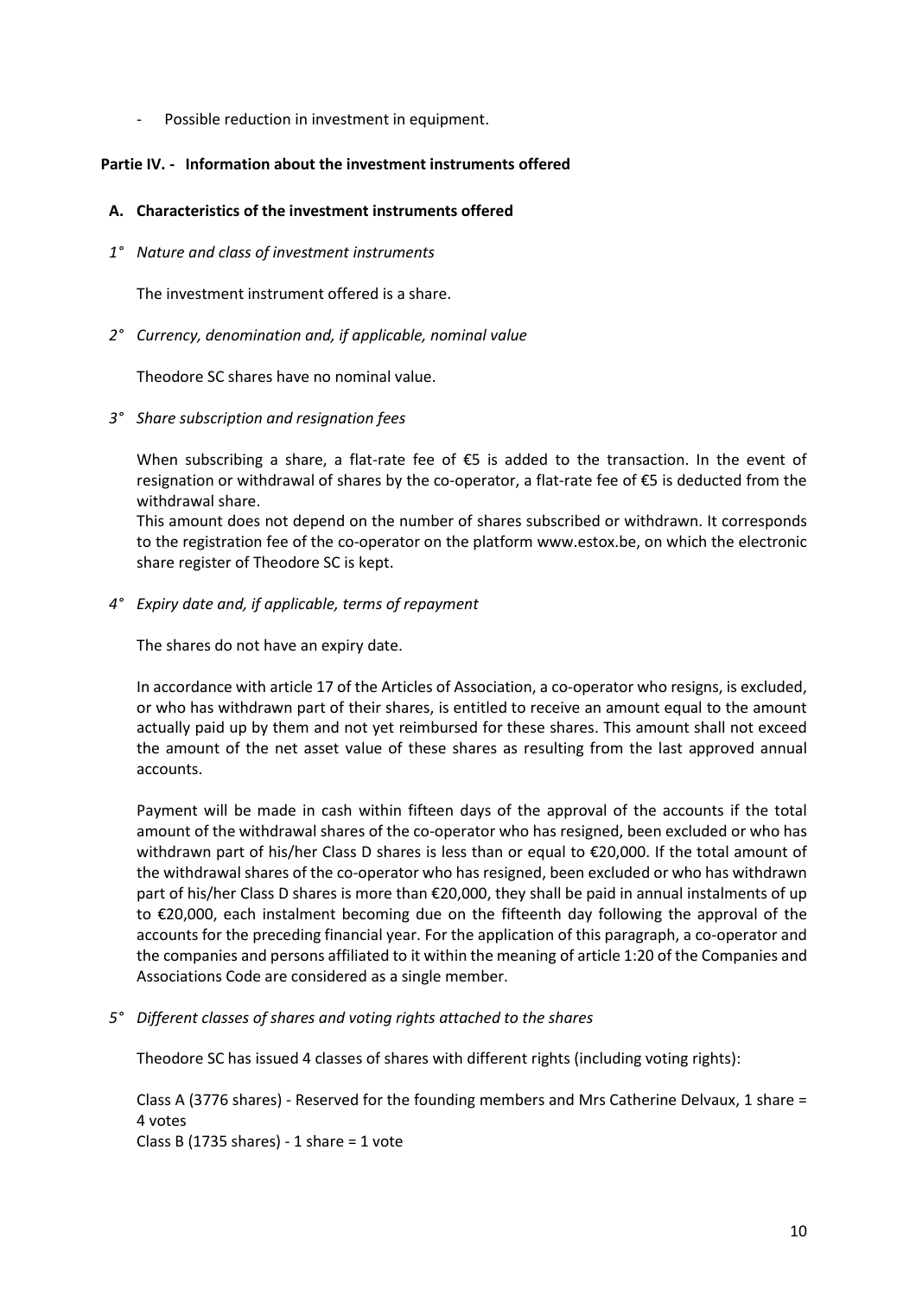Possible reduction in investment in equipment.

## <span id="page-9-0"></span>**Partie IV. - Information about the investment instruments offered**

## <span id="page-9-1"></span>**A. Characteristics of the investment instruments offered**

*1° Nature and class of investment instruments*

The investment instrument offered is a share.

*2° Currency, denomination and, if applicable, nominal value*

Theodore SC shares have no nominal value.

*3° Share subscription and resignation fees*

When subscribing a share, a flat-rate fee of €5 is added to the transaction. In the event of resignation or withdrawal of shares by the co-operator, a flat-rate fee of €5 is deducted from the withdrawal share.

This amount does not depend on the number of shares subscribed or withdrawn. It corresponds to the registration fee of the co-operator on the platform www.estox.be, on which the electronic share register of Theodore SC is kept.

*4° Expiry date and, if applicable, terms of repayment*

The shares do not have an expiry date.

In accordance with article 17 of the Articles of Association, a co-operator who resigns, is excluded, or who has withdrawn part of their shares, is entitled to receive an amount equal to the amount actually paid up by them and not yet reimbursed for these shares. This amount shall not exceed the amount of the net asset value of these shares as resulting from the last approved annual accounts.

Payment will be made in cash within fifteen days of the approval of the accounts if the total amount of the withdrawal shares of the co-operator who has resigned, been excluded or who has withdrawn part of his/her Class D shares is less than or equal to €20,000. If the total amount of the withdrawal shares of the co-operator who has resigned, been excluded or who has withdrawn part of his/her Class D shares is more than €20,000, they shall be paid in annual instalments of up to €20,000, each instalment becoming due on the fifteenth day following the approval of the accounts for the preceding financial year. For the application of this paragraph, a co-operator and the companies and persons affiliated to it within the meaning of article 1:20 of the Companies and Associations Code are considered as a single member.

*5° Different classes of shares and voting rights attached to the shares*

Theodore SC has issued 4 classes of shares with different rights (including voting rights):

Class A (3776 shares) - Reserved for the founding members and Mrs Catherine Delvaux, 1 share = 4 votes

Class B (1735 shares) - 1 share = 1 vote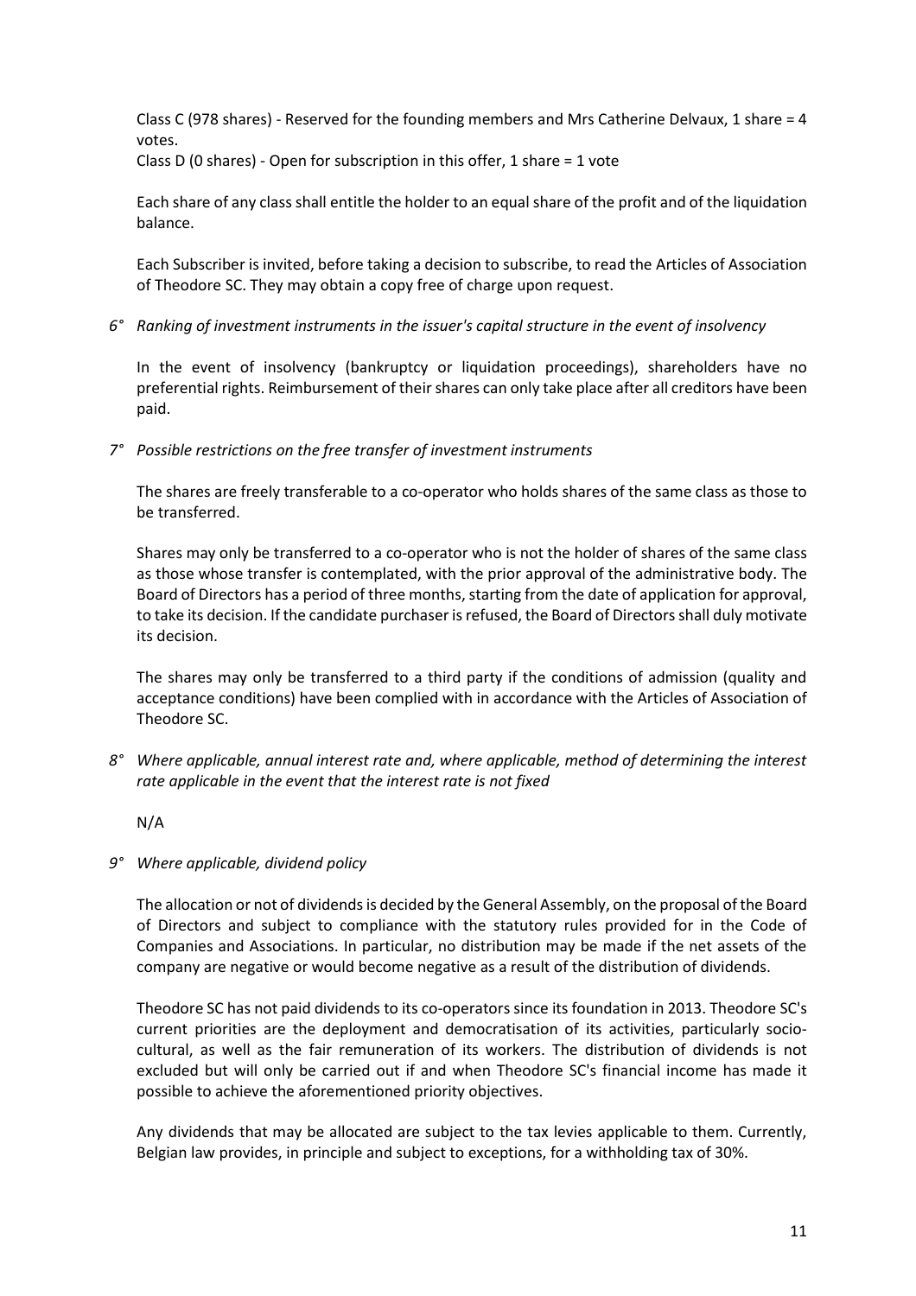Class C (978 shares) - Reserved for the founding members and Mrs Catherine Delvaux, 1 share = 4 votes.

Class D (0 shares) - Open for subscription in this offer, 1 share = 1 vote

Each share of any class shall entitle the holder to an equal share of the profit and of the liquidation balance.

Each Subscriber is invited, before taking a decision to subscribe, to read the Articles of Association of Theodore SC. They may obtain a copy free of charge upon request.

*6° Ranking of investment instruments in the issuer's capital structure in the event of insolvency*

In the event of insolvency (bankruptcy or liquidation proceedings), shareholders have no preferential rights. Reimbursement of their shares can only take place after all creditors have been paid.

*7° Possible restrictions on the free transfer of investment instruments*

The shares are freely transferable to a co-operator who holds shares of the same class as those to be transferred.

Shares may only be transferred to a co-operator who is not the holder of shares of the same class as those whose transfer is contemplated, with the prior approval of the administrative body. The Board of Directors has a period of three months, starting from the date of application for approval, to take its decision. If the candidate purchaser is refused, the Board of Directors shall duly motivate its decision.

The shares may only be transferred to a third party if the conditions of admission (quality and acceptance conditions) have been complied with in accordance with the Articles of Association of Theodore SC.

*8° Where applicable, annual interest rate and, where applicable, method of determining the interest rate applicable in the event that the interest rate is not fixed*

N/A

*9° Where applicable, dividend policy*

The allocation or not of dividends is decided by the General Assembly, on the proposal of the Board of Directors and subject to compliance with the statutory rules provided for in the Code of Companies and Associations. In particular, no distribution may be made if the net assets of the company are negative or would become negative as a result of the distribution of dividends.

Theodore SC has not paid dividends to its co-operators since its foundation in 2013. Theodore SC's current priorities are the deployment and democratisation of its activities, particularly sociocultural, as well as the fair remuneration of its workers. The distribution of dividends is not excluded but will only be carried out if and when Theodore SC's financial income has made it possible to achieve the aforementioned priority objectives.

Any dividends that may be allocated are subject to the tax levies applicable to them. Currently, Belgian law provides, in principle and subject to exceptions, for a withholding tax of 30%.